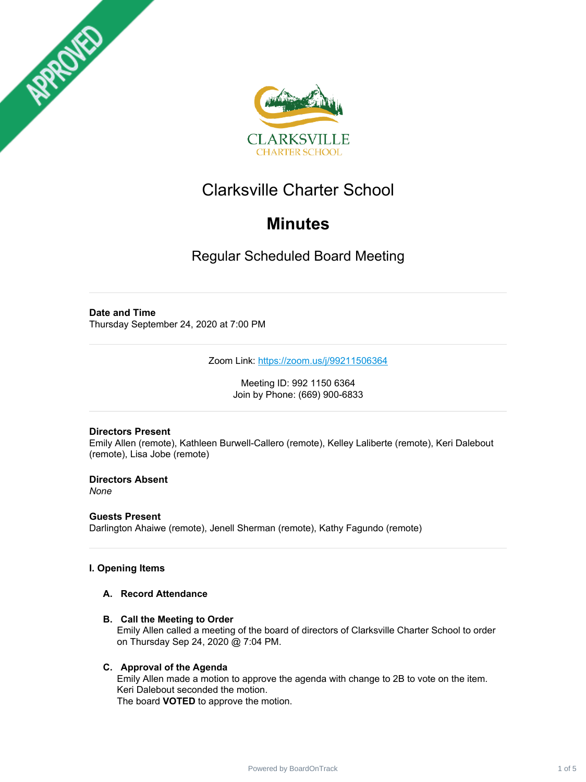



# Clarksville Charter School

# **Minutes**

Regular Scheduled Board Meeting

# **Date and Time**

Thursday September 24, 2020 at 7:00 PM

Zoom Link: <https://zoom.us/j/99211506364>

Meeting ID: 992 1150 6364 Join by Phone: (669) 900-6833

## **Directors Present**

Emily Allen (remote), Kathleen Burwell-Callero (remote), Kelley Laliberte (remote), Keri Dalebout (remote), Lisa Jobe (remote)

**Directors Absent** *None*

**Guests Present** Darlington Ahaiwe (remote), Jenell Sherman (remote), Kathy Fagundo (remote)

## **I. Opening Items**

### **A. Record Attendance**

**B. Call the Meeting to Order**

Emily Allen called a meeting of the board of directors of Clarksville Charter School to order on Thursday Sep 24, 2020 @ 7:04 PM.

## **C. Approval of the Agenda**

Emily Allen made a motion to approve the agenda with change to 2B to vote on the item. Keri Dalebout seconded the motion. The board **VOTED** to approve the motion.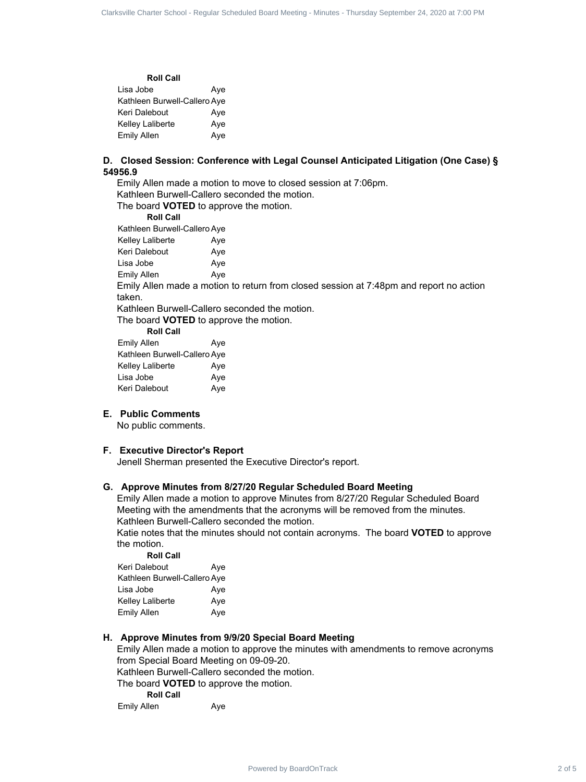| <b>Roll Call</b>             |     |
|------------------------------|-----|
| Lisa Jobe                    | Ave |
| Kathleen Burwell-Callero Aye |     |
| Keri Dalebout                | Ave |
| Kelley Laliberte             | Ave |
| Emily Allen                  | Aye |

#### **D. Closed Session: Conference with Legal Counsel Anticipated Litigation (One Case) § 54956.9**

Emily Allen made a motion to move to closed session at 7:06pm. Kathleen Burwell-Callero seconded the motion.

The board **VOTED** to approve the motion.

**Roll Call**

Kathleen Burwell-Callero Aye Kelley Laliberte **Aye** 

Keri Dalebout Aye Lisa Jobe **Aye** 

Emily Allen Aye

Emily Allen made a motion to return from closed session at 7:48pm and report no action taken.

Kathleen Burwell-Callero seconded the motion.

The board **VOTED** to approve the motion.

**Roll Call**

| Ave                          |
|------------------------------|
| Kathleen Burwell-Callero Aye |
| Ave                          |
| Ave                          |
| Ave                          |
|                              |

#### **E. Public Comments**

No public comments.

#### **F. Executive Director's Report**

Jenell Sherman presented the Executive Director's report.

#### **G. Approve Minutes from 8/27/20 Regular Scheduled Board Meeting**

Emily Allen made a motion to approve Minutes from 8/27/20 Regular Scheduled Board Meeting with the amendments that the acronyms will be removed from the minutes. Kathleen Burwell-Callero seconded the motion.

Katie notes that the minutes should not contain acronyms. The board **VOTED** to approve the motion. **Roll Call**

| Roll Call                    |     |
|------------------------------|-----|
| Keri Dalebout                | Ave |
| Kathleen Burwell-Callero Aye |     |
| Lisa Jobe                    | Ave |
| Kelley Laliberte             | Ave |
| <b>Emily Allen</b>           | Ave |

#### **H. Approve Minutes from 9/9/20 Special Board Meeting**

Emily Allen made a motion to approve the minutes with amendments to remove acronyms from Special Board Meeting on 09-09-20. Kathleen Burwell-Callero seconded the motion. The board **VOTED** to approve the motion. **Roll Call** Charter Create Scheduled Charter Companies and Charter Charter Charter Charter Charter Charter School - Regular Schedule Charter Schedule Charter School - Regular Schedule Charter Schedule Charter Schedule Charter Schedul

Emily Allen Aye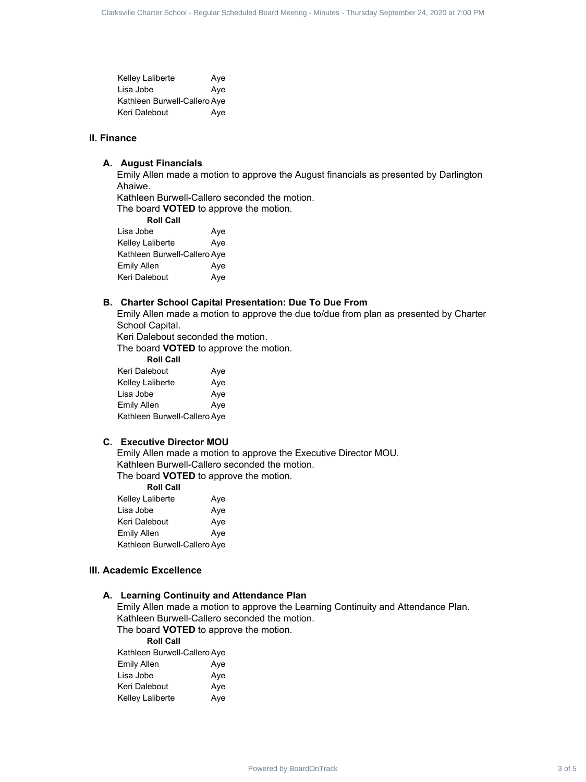Kelley Laliberte **Aye** Lisa Jobe Aye Kathleen Burwell-Callero Aye Keri Dalebout Aye

#### **II. Finance**

#### **A. August Financials**

Emily Allen made a motion to approve the August financials as presented by Darlington Ahaiwe.

Kathleen Burwell-Callero seconded the motion.

The board **VOTED** to approve the motion.

**Roll Call** Lisa Jobe **Aye** Kelley Laliberte **Aye** Kathleen Burwell-Callero Aye Emily Allen Aye Keri Dalebout Aye

#### **B. Charter School Capital Presentation: Due To Due From**

Emily Allen made a motion to approve the due to/due from plan as presented by Charter School Capital.

Keri Dalebout seconded the motion.

The board **VOTED** to approve the motion.

| <b>Roll Call</b>             |     |
|------------------------------|-----|
| Keri Dalebout                | Aye |
| Kelley Laliberte             | Aye |
| Lisa Jobe                    | Aye |
| Emily Allen                  | Aye |
| Kathleen Burwell-Callero Aye |     |

#### **C. Executive Director MOU**

Emily Allen made a motion to approve the Executive Director MOU. Kathleen Burwell-Callero seconded the motion. The board **VOTED** to approve the motion.

**Roll Call**

| <b>Kelley Laliberte</b>      | Ave |
|------------------------------|-----|
| Lisa Jobe                    | Ave |
| Keri Dalebout                | Ave |
| Emily Allen                  | Ave |
| Kathleen Burwell-Callero Aye |     |

#### **III. Academic Excellence**

#### **A. Learning Continuity and Attendance Plan**

Emily Allen made a motion to approve the Learning Continuity and Attendance Plan. Kathleen Burwell-Callero seconded the motion. Charter 3 of 5 Clarksville Charter School - Regular Scheduled Board - Regular School - Regular Scheduled Board - Apple Charter School - Apple Charter School - Apple Charter Schedule Charter Schedule Charter Schedule Charte

The board **VOTED** to approve the motion.

**Roll Call** Kathleen Burwell-Callero Aye Emily Allen Aye Lisa Jobe Aye Keri Dalebout Aye Kelley Laliberte Aye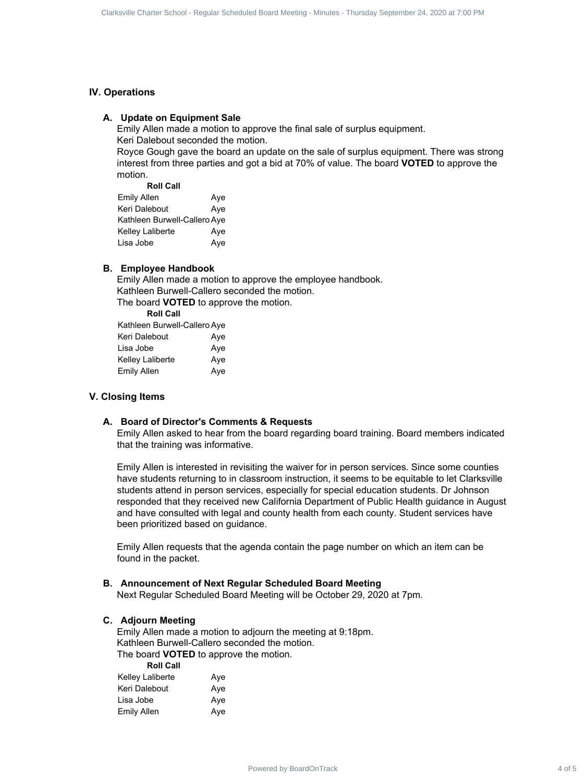#### **IV. Operations**

#### **A. Update on Equipment Sale**

Emily Allen made a motion to approve the final sale of surplus equipment. Keri Dalebout seconded the motion.

Royce Gough gave the board an update on the sale of surplus equipment. There was strong interest from three parties and got a bid at 70% of value. The board **VOTED** to approve the motion.

**Roll Call**

| Emily Allen                  | Ave |
|------------------------------|-----|
| Keri Dalebout                | Ave |
| Kathleen Burwell-Callero Aye |     |
| Kelley Laliberte             | Aye |
| Lisa Jobe                    | Ave |

#### **B. Employee Handbook**

Emily Allen made a motion to approve the employee handbook. Kathleen Burwell-Callero seconded the motion. The board **VOTED** to approve the motion.

**Roll Call** Kathleen Burwell-Callero Aye Keri Dalebout Aye Lisa Jobe Aye Kelley Laliberte **Aye** Emily Allen Aye

#### **V. Closing Items**

#### **A. Board of Director's Comments & Requests**

Emily Allen asked to hear from the board regarding board training. Board members indicated that the training was informative.

Emily Allen is interested in revisiting the waiver for in person services. Since some counties have students returning to in classroom instruction, it seems to be equitable to let Clarksville students attend in person services, especially for special education students. Dr Johnson responded that they received new California Department of Public Health guidance in August and have consulted with legal and county health from each county. Student services have been prioritized based on guidance. Charter Crack 4 of European Charter School - Regular Scheduled Board Meeting - Regular School - Regular School - Regular Scheduled Board Meeting - Regular Scheduled Board Meeting - Thus were selected by Board Meeting - Th

Emily Allen requests that the agenda contain the page number on which an item can be found in the packet.

#### **B. Announcement of Next Regular Scheduled Board Meeting**

Next Regular Scheduled Board Meeting will be October 29, 2020 at 7pm.

#### **C. Adjourn Meeting**

Emily Allen made a motion to adjourn the meeting at 9:18pm. Kathleen Burwell-Callero seconded the motion. The board **VOTED** to approve the motion. **Roll Call**

| ROIL CAIL        |     |
|------------------|-----|
| Kelley Laliberte | Ave |
| Keri Dalebout    | Ave |
| Lisa Jobe        | Ave |
| Emily Allen      | Ave |
|                  |     |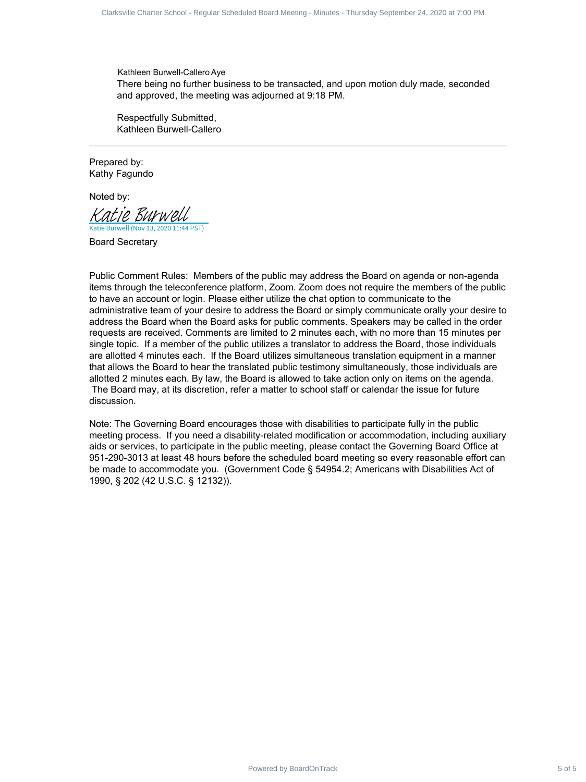Kathleen Burwell-Callero Aye There being no further business to be transacted, and upon motion duly made, seconded and approved, the meeting was adjourned at 9:18 PM.

Respectfully Submitted, Kathleen Burwell-Callero

Prepared by: Kathy Fagundo

Noted by:

Katie Burwell (Nov 13, 2020 11:44 PST) [Katie Burwell](https://na2.documents.adobe.com/verifier?tx=CBJCHBCAABAApxhonS0_fOrKXB6i_YPjcC1A51oTUemB)

Board Secretary

Public Comment Rules: Members of the public may address the Board on agenda or non-agenda items through the teleconference platform, Zoom. Zoom does not require the members of the public to have an account or login. Please either utilize the chat option to communicate to the administrative team of your desire to address the Board or simply communicate orally your desire to address the Board when the Board asks for public comments. Speakers may be called in the order requests are received. Comments are limited to 2 minutes each, with no more than 15 minutes per single topic. If a member of the public utilizes a translator to address the Board, those individuals are allotted 4 minutes each. If the Board utilizes simultaneous translation equipment in a manner that allows the Board to hear the translated public testimony simultaneously, those individuals are allotted 2 minutes each. By law, the Board is allowed to take action only on items on the agenda. The Board may, at its discretion, refer a matter to school staff or calendar the issue for future discussion. Charter 6 of 8 of 6 Clarksville Charter Schedule Board, 1978 and 24, 2020 at 7:00 PM and 24, 2020 at 7:00 PM and 24, 2020 at 7:00 PM and 24, 2020 at 7:00 PM and 24, 2020 at 7:00 PM and 24, 2020 at 7:00 PM and 24, 2020 at

Note: The Governing Board encourages those with disabilities to participate fully in the public meeting process. If you need a disability-related modification or accommodation, including auxiliary aids or services, to participate in the public meeting, please contact the Governing Board Office at 951-290-3013 at least 48 hours before the scheduled board meeting so every reasonable effort can be made to accommodate you. (Government Code § 54954.2; Americans with Disabilities Act of 1990, § 202 (42 U.S.C. § 12132)).